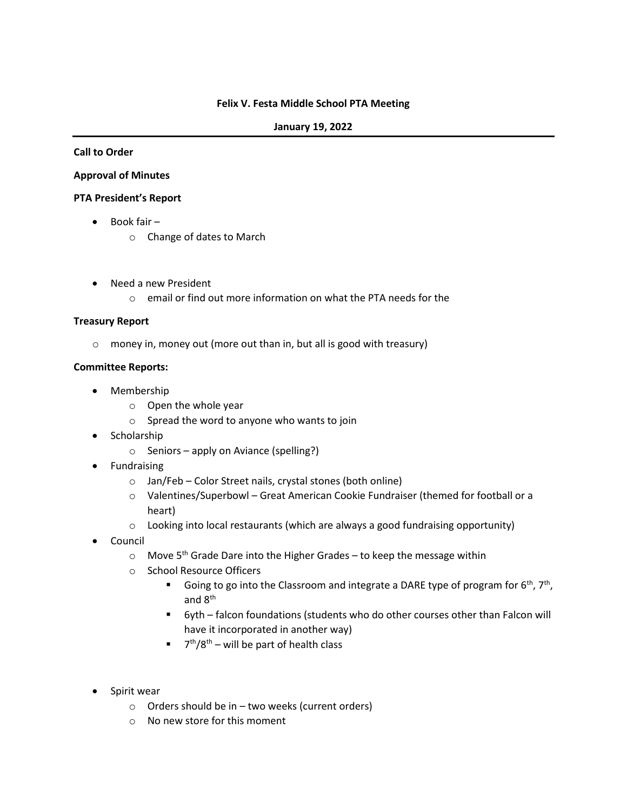#### **Felix V. Festa Middle School PTA Meeting**

#### **January 19, 2022**

#### **Call to Order**

#### **Approval of Minutes**

#### **PTA President's Report**

- Book fair
	- o Change of dates to March
- Need a new President
	- o email or find out more information on what the PTA needs for the

## **Treasury Report**

o money in, money out (more out than in, but all is good with treasury)

## **Committee Reports:**

- Membership
	- o Open the whole year
	- o Spread the word to anyone who wants to join
- Scholarship
	- o Seniors apply on Aviance (spelling?)
- Fundraising
	- o Jan/Feb Color Street nails, crystal stones (both online)
	- o Valentines/Superbowl Great American Cookie Fundraiser (themed for football or a heart)
	- $\circ$  Looking into local restaurants (which are always a good fundraising opportunity)
- Council
	- $\circ$  Move 5<sup>th</sup> Grade Dare into the Higher Grades to keep the message within
	- o School Resource Officers
		- **E** Going to go into the Classroom and integrate a DARE type of program for  $6^{th}$ ,  $7^{th}$ , and 8th
		- 6yth falcon foundations (students who do other courses other than Falcon will have it incorporated in another way)
		- $\blacksquare$  7<sup>th</sup>/8<sup>th</sup> will be part of health class
- Spirit wear
	- $\circ$  Orders should be in two weeks (current orders)
	- o No new store for this moment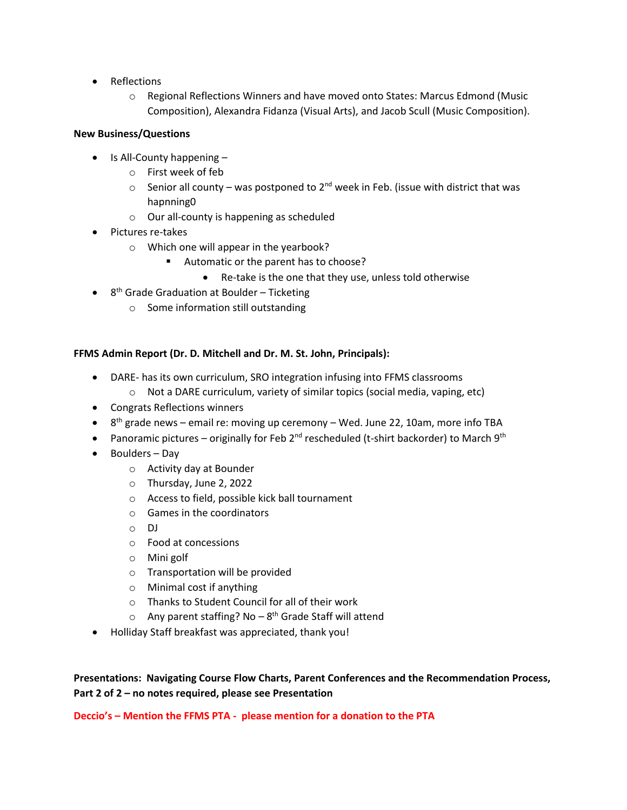- Reflections
	- o Regional Reflections Winners and have moved onto States: Marcus Edmond (Music Composition), Alexandra Fidanza (Visual Arts), and Jacob Scull (Music Composition).

# **New Business/Questions**

- Is All-County happening
	- o First week of feb
	- $\circ$  Senior all county was postponed to 2<sup>nd</sup> week in Feb. (issue with district that was hapnning0
	- o Our all-county is happening as scheduled
- Pictures re-takes
	- o Which one will appear in the yearbook?
		- Automatic or the parent has to choose?
			- Re-take is the one that they use, unless told otherwise
- 8<sup>th</sup> Grade Graduation at Boulder Ticketing
	- o Some information still outstanding

# **FFMS Admin Report (Dr. D. Mitchell and Dr. M. St. John, Principals):**

- DARE- has its own curriculum, SRO integration infusing into FFMS classrooms
	- o Not a DARE curriculum, variety of similar topics (social media, vaping, etc)
- Congrats Reflections winners
- $\bullet$  8<sup>th</sup> grade news email re: moving up ceremony Wed. June 22, 10am, more info TBA
- Panoramic pictures originally for Feb 2<sup>nd</sup> rescheduled (t-shirt backorder) to March 9<sup>th</sup>
- Boulders Day
	- o Activity day at Bounder
	- o Thursday, June 2, 2022
	- o Access to field, possible kick ball tournament
	- o Games in the coordinators
	- o DJ
	- o Food at concessions
	- o Mini golf
	- o Transportation will be provided
	- o Minimal cost if anything
	- o Thanks to Student Council for all of their work
	- Any parent staffing? No 8<sup>th</sup> Grade Staff will attend
- Holliday Staff breakfast was appreciated, thank you!

**Presentations: Navigating Course Flow Charts, Parent Conferences and the Recommendation Process, Part 2 of 2 – no notes required, please see Presentation**

**Deccio's – Mention the FFMS PTA - please mention for a donation to the PTA**